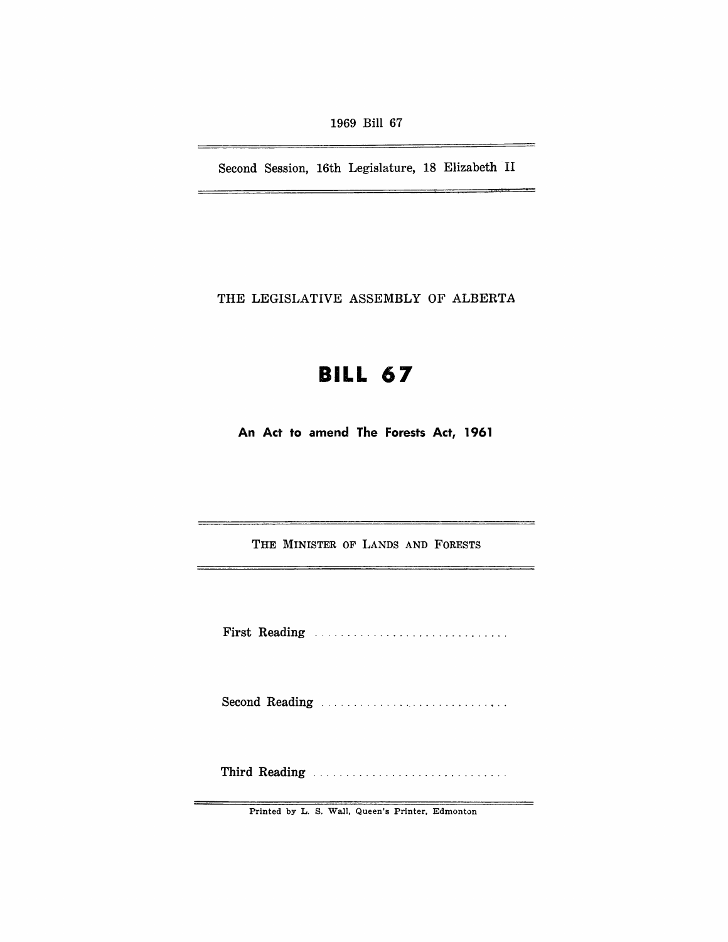1969 Bill 67

Second Session, 16th Legislature, 18 Elizabeth II

THE LEGISLATIVE ASSEMBLY OF ALBERTA

# **BILL 67**

**An Act to amend The Forests Act, 1961** 

THE MINISTER OF LANDS AND FORESTS

First Reading ...................................

Second Reading ............................ .

Third Reading ............................. .

Printed by L. S. Wall, Queen's Printer, Edmonton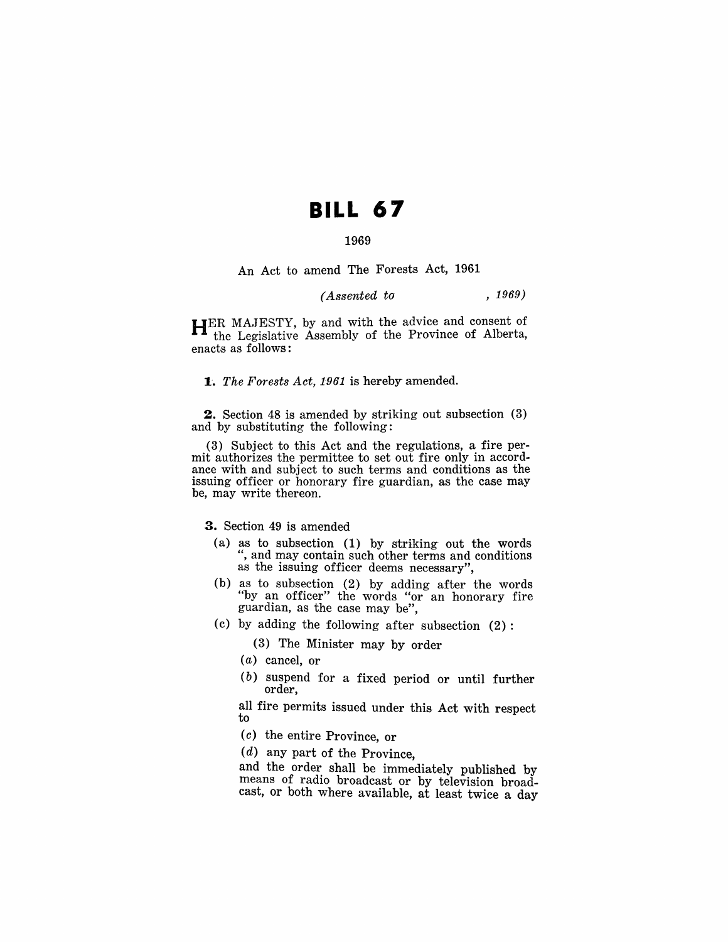# **BILL 67**

## 1969

An Act to amend The Forests Act, 1961

*(Assented to* , 1969)

HER MAJESTY, by and with the advice and consent of the Legislative Assembly of the Province of Alberta, enacts as follows:

*1'. The Forests Act,* 1961 is hereby amended.

2. Section 48 is amended by striking out subsection (3) and by substituting the following:

(3) Subject to this Act and the regulations, a fire permit authorizes the permittee to set out fire only in accordance with and subject to such terms and conditions as the issuing officer or honorary fire guardian, as the case may be, may write thereon.

3. Section 49 is amended

- (a) as to subsection (1) by striking out the words ", and may contain such other terms and conditions as the issuing officer deems necessary",
- (b) as to subsection (2) by adding after the words "by an officer" the words "or an honorary fire guardian, as the case may be",
- (c) by adding the following after subsection (2):
	- (3) The Minister may by order
	- *( a* ) cancel, or
	- (b) suspend for a fixed period or until further order,

all fire permits issued under this Act with respect to

- (c) the entire Province, or
- (d) any part of the Province,

and the order shall be immediately published by means of radio broadcast or by television broadcast, or both where available, at least twice a day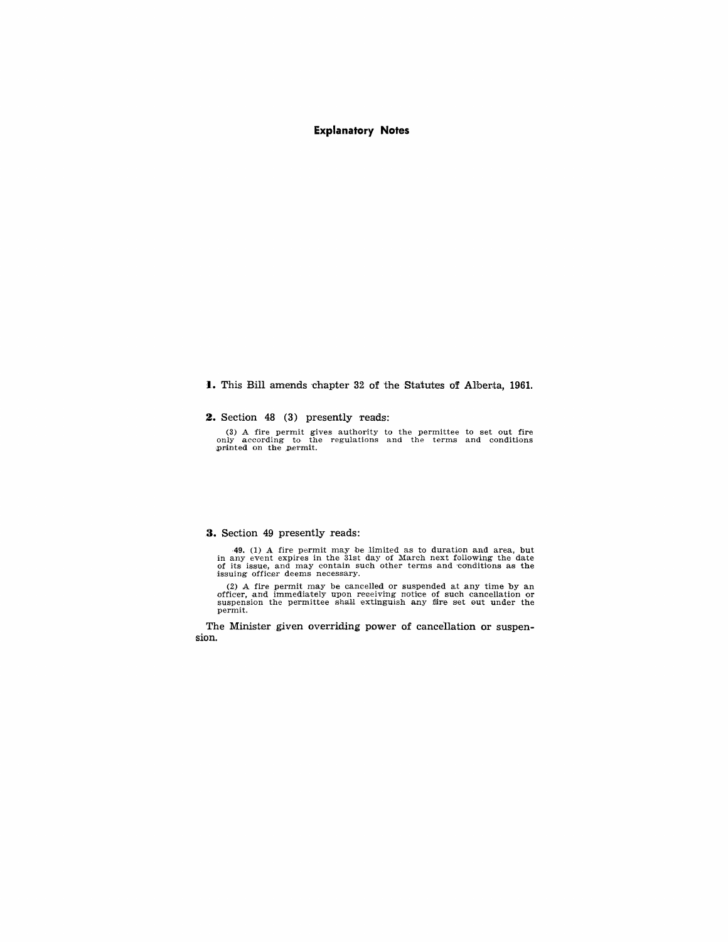## **Explanatory Notes**

**I.** This Bill amends chapter 32 of the Statutes of Alberta, 1961.

**2.** Section 48 (3) presently reads:

(3) A fire permit gives authority to the permittee to set out fire only according to the regulations and the terms and conditions printed on the permit.

### **3.** Section 49 presently reads:

49. (1) A fire permit may be limited as to duration and area, but<br>in any event expires in the 31st day of March next following the date<br>of its issue, and may contain such other terms and conditions as the<br>issuing officer

(2) A fire permit may be cancelled or suspended at any time by an officer, and immediately upon receiving notice of such cancellation or suspension the permittee shall extinguish any fire set out under the permit.

The Minister given overriding power of cancellation or suspension.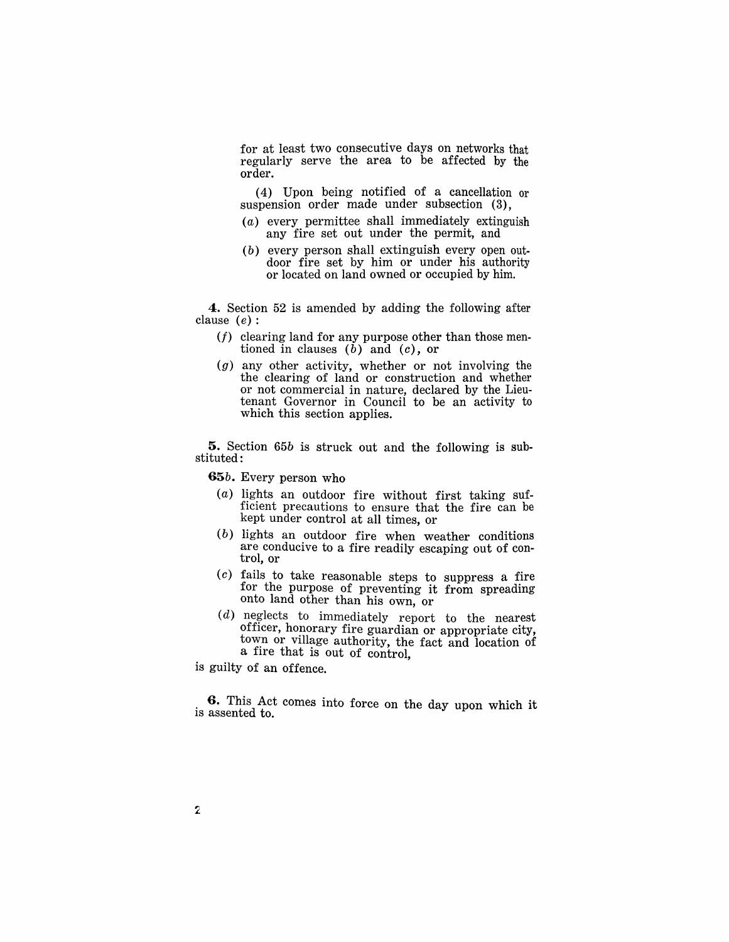for at least two consecutive days on networks that regularly serve the area to be affected by the order.

(4) Upon being notified of a cancellation or suspension order made under subsection (3),

- (a) every permittee shall immediately extinguish any fire set out under the permit, and
- $(b)$  every person shall extinguish every open outdoor fire set by him or under his authority or located on land owned or occupied by him.

**4.** Section 52 is amended by adding the following after clause  $(e)$ :

- $(f)$  clearing land for any purpose other than those mentioned in clauses  $(b)$  and  $(c)$ , or
- (g) any other activity, whether or not involving the the clearing of land or construction and whether or not commercial in nature, declared by the Lieutenant Governor in Council to be an activity to which this section applies.

**5.** Section *65b* is struck out and the following is substituted:

*65b.* Every person who

- (a) lights an outdoor fire without first taking sufficient precautions to ensure that the fire can be kept under control at all times, or
- (b) lights an outdoor fire when weather conditions are conducive to a fire readily escaping out of control, or
- (c) fails to take reasonable steps to suppress a fire for the purpose of preventing it from spreading onto land other than his own, or
- $(d)$  neglects to immediately report to the nearest officer, honorary fire guardian or appropriate city, town or village authority, the fact and location of a fire that is out of control,

is guilty of an offence.

. **G.** This Act comes into force on the day upon which it is assented to.